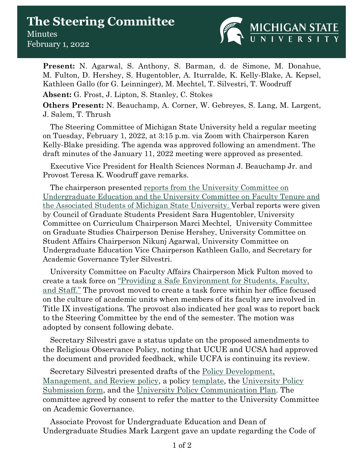## **The Steering Committee Minutes** February 1, 2022



**Present:** N. Agarwal, S. Anthony, S. Barman, d. de Simone, M. Donahue, M. Fulton, D. Hershey, S. Hugentobler, A. Iturralde, K. Kelly-Blake, A. Kepsel, Kathleen Gallo (for G. Leinninger), M. Mechtel, T. Silvestri, T. Woodruff

**Absent:** G. Frost, J. Lipton, S. Stanley, C. Stokes

**Others Present:** N. Beauchamp, A. Corner, W. Gebreyes, S. Lang, M. Largent, J. Salem, T. Thrush

The Steering Committee of Michigan State University held a regular meeting on Tuesday, February 1, 2022, at 3:15 p.m. via Zoom with Chairperson Karen Kelly-Blake presiding. The agenda was approved following an amendment. The draft minutes of the January 11, 2022 meeting were approved as presented.

Executive Vice President for Health Sciences Norman J. Beauchamp Jr. and Provost Teresa K. Woodruff gave remarks.

The chairperson presented [reports from the University Committee on](https://acadgov.msu.edu/sites/default/files/content/Steering-Committee/2021-2022/2022-01-11/A%20-%20Reports%20to%20Steering%202022-01-11.pdf)  [Undergraduate Education and the University Committee on Faculty Tenure](https://acadgov.msu.edu/sites/default/files/content/Steering-Committee/2021-2022/2022-01-11/A%20-%20Reports%20to%20Steering%202022-01-11.pdf) and [the Associated Students of Michigan State University.](https://acadgov.msu.edu/sites/default/files/content/Steering-Committee/2021-2022/2022-01-11/A%20-%20Reports%20to%20Steering%202022-01-11.pdf) Verbal reports were given by Council of Graduate Students President Sara Hugentobler, University Committee on Curriculum Chairperson Marci Mechtel, University Committee on Graduate Studies Chairperson Denise Hershey, University Committee on Student Affairs Chairperson Nikunj Agarwal, University Committee on Undergraduate Education Vice Chairperson Kathleen Gallo, and Secretary for Academic Governance Tyler Silvestri.

University Committee on Faculty Affairs Chairperson Mick Fulton moved to create a task force on ["Providing a Safe Environment](https://acadgov.msu.edu/sites/default/files/content/Steering-Committee/2021-2022/2022-02-01/C%20-%20Providing%20a%20Safe%20Environment%20UCFA%20to%20Steering.pdf) for Students, Faculty, [and Staff."](https://acadgov.msu.edu/sites/default/files/content/Steering-Committee/2021-2022/2022-02-01/C%20-%20Providing%20a%20Safe%20Environment%20UCFA%20to%20Steering.pdf) The provost moved to create a task force within her office focused on the culture of academic units when members of its faculty are involved in Title IX investigations. The provost also indicated her goal was to report back to the Steering Committee by the end of the semester. The motion was adopted by consent following debate.

Secretary Silvestri gave a status update on the proposed amendments to the Religious Observance Policy, noting that UCUE and UCSA had approved the document and provided feedback, while UCFA is continuing its review.

Secretary Silvestri presented drafts of the [Policy Development,](https://acadgov.msu.edu/sites/default/files/content/Steering-Committee/2021-2022/2022-02-01/E%20-%20MSU%20Policy%20Mgt%20Draft-%20Final%20Nov%202021.pdf)  [Management, and Review policy,](https://acadgov.msu.edu/sites/default/files/content/Steering-Committee/2021-2022/2022-02-01/E%20-%20MSU%20Policy%20Mgt%20Draft-%20Final%20Nov%202021.pdf) a policy [template,](https://acadgov.msu.edu/sites/default/files/content/Steering-Committee/2021-2022/2022-02-01/F%20-%20MSU%20Policy%20Template%20DRAFT%20Final%20Nov%202021.pdf) the [University Policy](https://acadgov.msu.edu/sites/default/files/content/Steering-Committee/2021-2022/2022-02-01/G%20-%20MSU%20Unversity%20Policy%20Submission%20Form%20Nov%202021.pdf)  [Submission form,](https://acadgov.msu.edu/sites/default/files/content/Steering-Committee/2021-2022/2022-02-01/G%20-%20MSU%20Unversity%20Policy%20Submission%20Form%20Nov%202021.pdf) and the [University Policy Communication Plan.](https://acadgov.msu.edu/sites/default/files/content/Steering-Committee/2021-2022/2022-02-01/H%20-%20University%20Policy%20Communication%20Plan%20-%20Final.pdf) The committee agreed by consent to refer the matter to the University Committee on Academic Governance.

Associate Provost for Undergraduate Education and Dean of Undergraduate Studies Mark Largent gave an update regarding the Code of